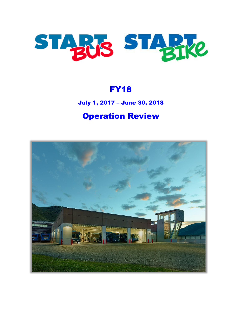

### FY18

### July 1, 2017 – June 30, 2018

# Operation Review

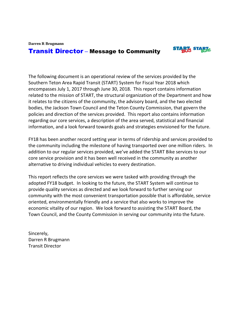**Darren R Brugmann**

### Transit Director **–** Message to Community



The following document is an operational review of the services provided by the Southern Teton Area Rapid Transit (START) System for Fiscal Year 2018 which encompasses July 1, 2017 through June 30, 2018. This report contains information related to the mission of START, the structural organization of the Department and how it relates to the citizens of the community, the advisory board, and the two elected bodies, the Jackson Town Council and the Teton County Commission, that govern the policies and direction of the services provided. This report also contains information regarding our core services, a description of the area served, statistical and financial information, and a look forward towards goals and strategies envisioned for the future.

FY18 has been another record setting year in terms of ridership and services provided to the community including the milestone of having transported over one million riders. In addition to our regular services provided, we've added the START Bike services to our core service provision and it has been well received in the community as another alternative to driving individual vehicles to every destination.

This report reflects the core services we were tasked with providing through the adopted FY18 budget. In looking to the future, the START System will continue to provide quality services as directed and we look forward to further serving our community with the most convenient transportation possible that is affordable, service oriented, environmentally friendly and a service that also works to improve the economic vitality of our region. We look forward to assisting the START Board, the Town Council, and the County Commission in serving our community into the future.

Sincerely, Darren R Brugmann Transit Director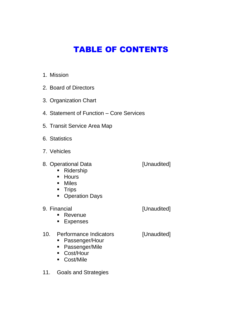# TABLE OF CONTENTS

- 1. Mission
- 2. Board of Directors
- 3. Organization Chart
- 4. Statement of Function Core Services
- 5. Transit Service Area Map
- 6. Statistics
- 7. Vehicles
- 8. Operational Data [Unaudited]

- Ridership
- **-** Hours
- **-** Miles
- **Trips**
- **-** Operation Days
- 9. Financial **Exercise Exercise Service Contracts** [Unaudited]

- **Revenue**
- **Expenses**
- 10. Performance Indicators [Unaudited]
	- Passenger/Hour
	- Passenger/Mile
	- Cost/Hour
	- Cost/Mile
- 11. Goals and Strategies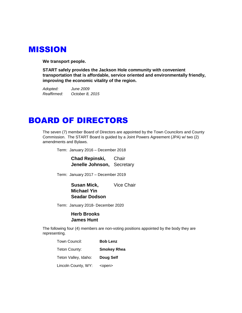### MISSION

**We transport people.**

**START safely provides the Jackson Hole community with convenient transportation that is affordable, service oriented and environmentally friendly, improving the economic vitality of the region.**

*Adopted: June 2009 Reaffirmed: October 8, 2015*

### BOARD OF DIRECTORS

The seven (7) member Board of Directors are appointed by the Town Councilors and County Commission. The START Board is guided by a Joint Powers Agreement (JPA) w/ two (2) amendments and Bylaws.

Term: January 2016 – December 2018

**Chad Repinski,** Chair **Jenelle Johnson,** Secretary

Term: January 2017 – December 2019

**Susan Mick.** Vice Chair **Michael Yin Seadar Dodson**

Term: January 2018- December 2020

#### **Herb Brooks James Hunt**

The following four (4) members are non-voting positions appointed by the body they are representing.

| Town Council:        | <b>Bob Lenz</b>    |
|----------------------|--------------------|
| Teton County:        | <b>Smokey Rhea</b> |
| Teton Valley, Idaho: | Doug Self          |
| Lincoln County, WY:  | <open></open>      |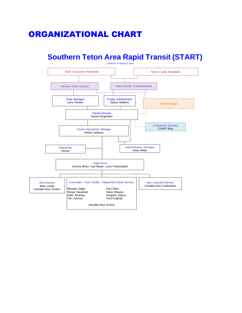# ORGANIZATIONAL CHART

### **Southern Teton Area Rapid Transit (START)**

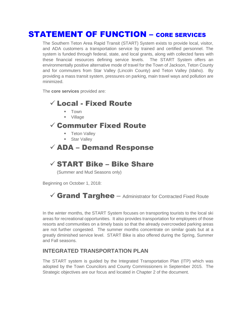### STATEMENT OF FUNCTION – CORE SERVICES

The Southern Teton Area Rapid Transit (START) System exists to provide local, visitor, and ADA customers a transportation service by trained and certified personnel. The system is funded through federal, state, and local grants, along with collected fares with these financial resources defining service levels. The START System offers an environmentally positive alternative mode of travel for the Town of Jackson, Teton County and for commuters from Star Valley (Lincoln County) and Teton Valley (Idaho). By providing a mass transit system, pressures on parking, main travel ways and pollution are minimized.

The **core services** provided are:

### Local - Fixed Route

- $\blacksquare$  Town
- Village

### $\checkmark$  Commuter Fixed Route

- **Teton Valley**
- **Star Valley**

### $\checkmark$  ADA – Demand Response

### $\checkmark$  START Bike – Bike Share

(Summer and Mud Seasons only)

Beginning on October 1, 2018:

### $\checkmark$  Grand Targhee  $-$  Administrator for Contracted Fixed Route

In the winter months, the START System focuses on transporting tourists to the local ski areas for recreational opportunities. It also provides transportation for employees of those resorts and communities on a timely basis so that the already overcrowded parking areas are not further congested. The summer months concentrate on similar goals but at a greatly diminished service level. START Bike is also offered during the Spring, Summer and Fall seasons.

#### **INTEGRATED TRANSPORTATION PLAN**

The START system is guided by the Integrated Transportation Plan (ITP) which was adopted by the Town Councilors and County Commissioners in September 2015. The Strategic objectives are our focus and located in Chapter 2 of the document.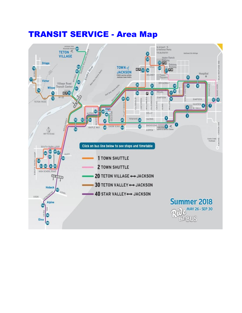### TRANSIT SERVICE - Area Map

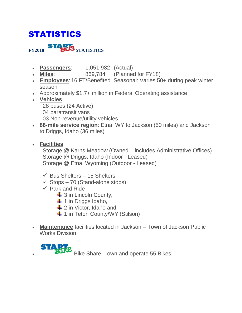# STATISTICS

**FY2018 STARIS** STATISTICS

- **Passengers**: 1,051,982 (Actual)
- **Miles**: 869,784 (Planned for FY18)
- **Employees**: 16 FT/Benefited Seasonal: Varies 50+ during peak winter season
- Approximately \$1.7+ million in Federal Operating assistance
- **Vehicles**
	- 28 buses (24 Active)
	- 04 paratransit vans
	- 03 Non-revenue/utility vehicles
- **86-mile service region**: Etna, WY to Jackson (50 miles) and Jackson to Driggs, Idaho (36 miles)
- **Facilities**

Storage @ Karns Meadow (Owned – includes Administrative Offices) Storage @ Driggs, Idaho (Indoor - Leased) Storage @ Etna, Wyoming (Outdoor - Leased)

- $\checkmark$  Bus Shelters 15 Shelters
- $\checkmark$  Stops 70 (Stand-alone stops)
- $\checkmark$  Park and Ride
	- $\frac{1}{2}$  3 in Lincoln County,
	- $\ddagger$  1 in Driggs Idaho,
	- $\frac{1}{2}$  2 in Victor, Idaho and
	- $\downarrow$  **1** in Teton County/WY (Stilson)
- **Maintenance** facilities located in Jackson Town of Jackson Public Works Division

**STARR**<br>Bike Share – own and operate 55 Bikes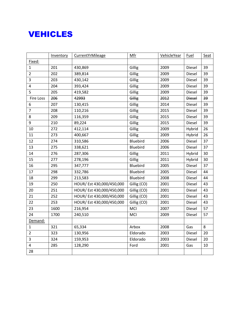### VEHICLES

|                         | Inventory | CurrentYrMileage          | Mfr         | VehicleYear | Fuel          | Seat |
|-------------------------|-----------|---------------------------|-------------|-------------|---------------|------|
| Fixed:                  |           |                           |             |             |               |      |
| $\mathbf{1}$            | 201       | 430,869                   | Gillig      | 2009        | Diesel        | 39   |
| $\overline{2}$          | 202       | 389,814                   | Gillig      | 2009        | Diesel        | 39   |
| $\overline{\mathbf{3}}$ | 203       | 430,142                   | Gillig      | 2009        | Diesel        | 39   |
| 4                       | 204       | 393,424                   | Gillig      | 2009        | Diesel        | 39   |
| 5                       | 205       | 419,582                   | Gillig      | 2009        | Diesel        | 39   |
| Fire Loss               | 206       | 42993                     | Gillig      | 2012        | <b>Diesel</b> | 39   |
| 6                       | 207       | 130,415                   | Gillig      | 2014        | Diesel        | 39   |
| $\overline{7}$          | 208       | 110,216                   | Gillig      | 2015        | Diesel        | 39   |
| 8                       | 209       | 116,359                   | Gillig      | 2015        | Diesel        | 39   |
| 9                       | 210       | 89,224                    | Gillig      | 2015        | Diesel        | 39   |
| 10                      | 272       | 412,114                   | Gillig      | 2009        | Hybrid        | 26   |
| 11                      | 273       | 400,667                   | Gillig      | 2009        | Hybrid        | 26   |
| 12                      | 274       | 310,586                   | Bluebird    | 2006        | Diesel        | 37   |
| 13                      | 275       | 338,621                   | Bluebird    | 2006        | Diesel        | 37   |
| 14                      | 276       | 287,306                   | Gillig      | 2011        | Hybrid        | 30   |
| 15                      | 277       | 278,196                   | Gillig      | 2011        | Hybrid        | 30   |
| 16                      | 295       | 347,777                   | Bluebird    | 2005        | Diesel        | 37   |
| 17                      | 298       | 332,786                   | Bluebird    | 2005        | Diesel        | 44   |
| 18                      | 299       | 213,583                   | Bluebird    | 2008        | Diesel        | 44   |
| 19                      | 250       | HOUR/ Est 430,000/450,000 | Gillig (CO) | 2001        | Diesel        | 43   |
| 20                      | 251       | HOUR/ Est 430,000/450,000 | Gillig (CO) | 2001        | Diesel        | 43   |
| 21                      | 252       | HOUR/ Est 430,000/450,000 | Gillig (CO) | 2001        | Diesel        | 43   |
| 22                      | 253       | HOUR/ Est 430,000/450,000 | Gillig (CO) | 2001        | Diesel        | 43   |
| 23                      | 1600      | 216,954                   | MCI         | 2007        | Diesel        | 57   |
| 24                      | 1700      | 240,510                   | MCI         | 2009        | Diesel        | 57   |
| Demand:                 |           |                           |             |             |               |      |
| $\mathbf{1}$            | 321       | 65,334                    | Arbox       | 2008        | Gas           | 8    |
| $\overline{2}$          | 323       | 130,956                   | Eldorado    | 2003        | Diesel        | 20   |
| $\overline{3}$          | 324       | 159,953                   | Eldorado    | 2003        | Diesel        | 20   |
| $\overline{4}$          | 285       | 128,290                   | Ford        | 2001        | Gas           | 10   |
| 28                      |           |                           |             |             |               |      |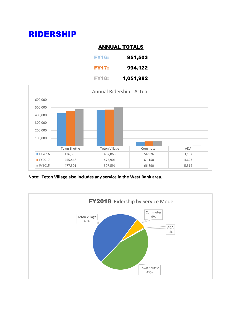# RIDERSHIP

#### ANNUAL TOTALS

| <b>FY16:</b> | 951,503   |
|--------------|-----------|
| <b>FY17:</b> | 994,122   |
| FY18:        | 1,051,982 |



**Note: Teton Village also includes any service in the West Bank area.**

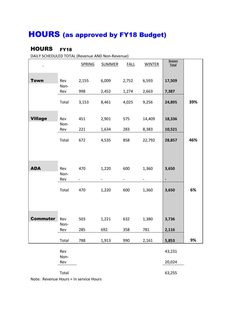# HOURS (as approved by FY18 Budget)

### HOURS FY18

DAILY SCHEDULED TOTAL (Revenue AND Non-Revenue)

|                 |                    | <b>SPRING</b> | <b>SUMMER</b> | <b>FALL</b> | <b>WINTER</b>                         | Season<br>Total |     |
|-----------------|--------------------|---------------|---------------|-------------|---------------------------------------|-----------------|-----|
|                 |                    |               |               |             |                                       |                 |     |
| <b>Town</b>     | Rev<br>Non-        | 2,155         | 6,009         | 2,752       | 6,593                                 | 17,509          |     |
|                 | Rev                | 998           | 2,452         | 1,274       | 2,663                                 | 7,387           |     |
|                 | Total              | 3,153         | 8,461         | 4,025       | 9,256                                 | 24,895          | 39% |
| <b>Village</b>  | Rev<br>Non-        | 451           | 2,901         | 575         | 14,409                                | 18,336          |     |
|                 | Rev                | 221           | 1,634         | 283         | 8,383                                 | 10,521          |     |
|                 | Total              | 672           | 4,535         | 858         | 22,792                                | 28,857          | 46% |
|                 |                    |               |               |             |                                       |                 |     |
| <b>ADA</b>      | Rev<br>Non-<br>Rev | 470           | 1,220         | 600         | 1,360<br>$\qquad \qquad \blacksquare$ | 3,650           |     |
|                 | Total              | 470           | 1,220         | 600         | 1,360                                 | 3,650           | 6%  |
|                 |                    |               |               |             |                                       |                 |     |
| <b>Commuter</b> | Rev<br>Non-        | 503           | 1,221         | 632         | 1,380                                 | 3,736           |     |
|                 | Rev                | 285           | 692           | 358         | 781                                   | 2,116           |     |
|                 | Total              | 788           | 1,913         | 990         | 2,161                                 | 5,853           | 9%  |
|                 | Rev<br>Non-        |               |               |             |                                       | 43,231          |     |
|                 | Rev                |               |               |             |                                       | 20,024          |     |
|                 | Total              |               |               |             |                                       | 63,255          |     |

Note: Revenue Hours = In service Hours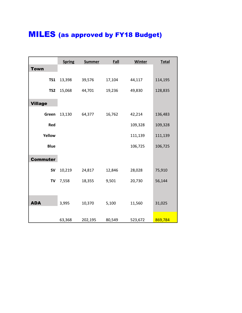# MILES (as approved by FY18 Budget)

|                 | <b>Spring</b> | <b>Summer</b> | Fall   | <b>Winter</b> | <b>Total</b> |
|-----------------|---------------|---------------|--------|---------------|--------------|
| <b>Town</b>     |               |               |        |               |              |
| <b>TS1</b>      | 13,398        | 39,576        | 17,104 | 44,117        | 114,195      |
| TS <sub>2</sub> | 15,068        | 44,701        | 19,236 | 49,830        | 128,835      |
| <b>Village</b>  |               |               |        |               |              |
| Green           | 13,130        | 64,377        | 16,762 | 42,214        | 136,483      |
| Red             |               |               |        | 109,328       | 109,328      |
| Yellow          |               |               |        | 111,139       | 111,139      |
| <b>Blue</b>     |               |               |        | 106,725       | 106,725      |
| <b>Commuter</b> |               |               |        |               |              |
| <b>SV</b>       | 10,219        | 24,817        | 12,846 | 28,028        | 75,910       |
| TV              | 7,558         | 18,355        | 9,501  | 20,730        | 56,144       |
|                 |               |               |        |               |              |
| <b>ADA</b>      | 3,995         | 10,370        | 5,100  | 11,560        | 31,025       |
|                 | 63,368        | 202,195       | 80,549 | 523,672       | 869,784      |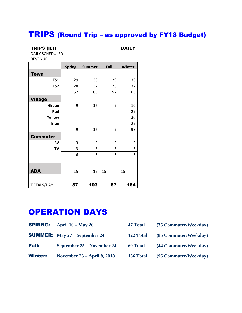### TRIPS (Round Trip – as approved by FY18 Budget)

#### TRIPS (RT) DAILY

DAILY SCHEDULED REVENUE

|                   | <b>Spring</b> | <b>Summer</b> | Fall | <b>Winter</b> |
|-------------------|---------------|---------------|------|---------------|
| <b>Town</b>       |               |               |      |               |
| <b>TS1</b>        | 29            | 33            | 29   | 33            |
| TS <sub>2</sub>   | 28            | 32            | 28   | 32            |
|                   | 57            | 65            | 57   | 65            |
| <b>Village</b>    |               |               |      |               |
| Green             | 9             | 17            | 9    | 10            |
| Red               |               |               |      | 29            |
| Yellow            |               |               |      | 30            |
| <b>Blue</b>       |               |               |      | 29            |
|                   | 9             | 17            | 9    | 98            |
| <b>Commuter</b>   |               |               |      |               |
| <b>SV</b>         | 3             | 3             | 3    | 3             |
| <b>TV</b>         | 3             | 3             | 3    | 3             |
|                   | 6             | 6             | 6    | 6             |
| <b>ADA</b>        | 15            | 15            | 15   | 15            |
| <b>TOTALS/DAY</b> | 87            | 103           | 87   | 184           |

### OPERATION DAYS

| <b>SPRING:</b> April $10 - May 26$ | 47 Total | (35 Commuter/Weekday) |
|------------------------------------|----------|-----------------------|
|                                    |          |                       |

|  |  | <b>SUMMER:</b> May $27 -$ September 24 |  |
|--|--|----------------------------------------|--|
|--|--|----------------------------------------|--|

| <b>Fall:</b> | September 25 – November 24 |  |  |
|--------------|----------------------------|--|--|
|              |                            |  |  |

| <b>Winter:</b> | November $25 -$ April 8, 2018 |  |
|----------------|-------------------------------|--|
|----------------|-------------------------------|--|

| F/ Total | $(35$ Commuter/Weekday |  |
|----------|------------------------|--|
|          |                        |  |

- 122 Total **(85 Commuter/Weekday)**
- Fall: **September 25 – November 24 60 Total (44 Commuter/Weekday)**
	- 136 Total (96 Commuter/Weekday)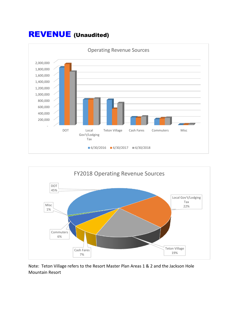### REVENUE (Unaudited)





Note: Teton Village refers to the Resort Master Plan Areas 1 & 2 and the Jackson Hole Mountain Resort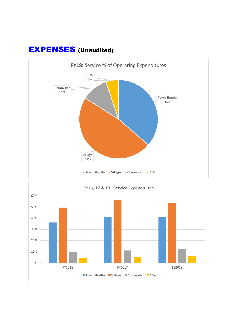

# EXPENSES (Unaudited)

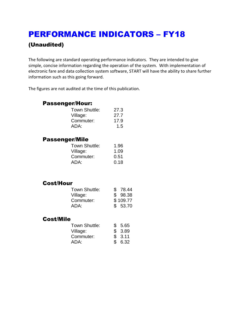# PERFORMANCE INDICATORS – FY18 (Unaudited)

The following are standard operating performance indicators. They are intended to give simple, concise information regarding the operation of the system. With implementation of electronic fare and data collection system software, START will have the ability to share further information such as this going forward.

The figures are not audited at the time of this publication.

### Passenger/Hour:

| Town Shuttle: | 27.3 |
|---------------|------|
| Village:      | 27.7 |
| Commuter:     | 17.9 |
| ADA:          | 1.5  |

### Passenger/Mile

| Town Shuttle: | 1.96 |
|---------------|------|
| Village:      | 1.09 |
| Commuter:     | 0.51 |
| ADA:          | 0.18 |
|               |      |

### Cost/Hour

| Town Shuttle: | \$78.44  |
|---------------|----------|
| Village:      | \$98.38  |
| Commuter:     | \$109.77 |
| ADA:          | \$53.70  |

#### Cost/Mile

| Town Shuttle: | \$5.65 |
|---------------|--------|
| Village:      | \$3.89 |
| Commuter:     | \$3.11 |
| ADA:          | \$6.32 |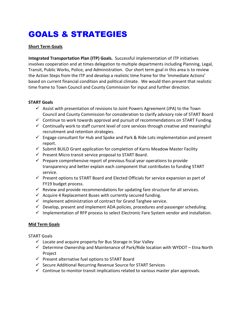# GOALS & STRATEGIES

#### **Short Term Goals**

**Integrated Transportation Plan (ITP) Goals.** Successful implementation of ITP initiatives involves cooperation and at times delegation to multiple departments including Planning, Legal, Transit, Public Works, Police, and Administration. Our short term goal in this area is to review the Action Steps from the ITP and develop a realistic time frame for the 'Immediate Actions' based on current financial condition and political climate. We would then present that realistic time frame to Town Council and County Commission for input and further direction.

#### **START Goals**

- $\checkmark$  Assist with presentation of revisions to Joint Powers Agreement (JPA) to the Town Council and County Commission for consideration to clarify advisory role of START Board
- $\checkmark$  Continue to work towards approval and pursuit of recommendations on START Funding.
- $\checkmark$  Continually work to staff current level of core services through creative and meaningful recruitment and retention strategies.
- $\checkmark$  Engage consultant for Hub and Spoke and Park & Ride Lots implementation and present report.
- $\checkmark$  Submit BUILD Grant application for completion of Karns Meadow Master Facility
- $\checkmark$  Present Micro transit service proposal to START Board.
- $\checkmark$  Prepare comprehensive report of previous fiscal year operations to provide transparency and better explain each component that contributes to funding START service.
- $\checkmark$  Present options to START Board and Elected Officials for service expansion as part of FY19 budget process.
- $\checkmark$  Review and provide recommendations for updating fare structure for all services.
- $\checkmark$  Acquire 4 Replacement Buses with currently secured funding.
- $\checkmark$  Implement administration of contract for Grand Targhee service.
- $\checkmark$  Develop, present and implement ADA policies, procedures and passenger scheduling.
- $\checkmark$  Implementation of RFP process to select Electronic Fare System vendor and installation.

#### **Mid Term Goals**

START Goals

- $\checkmark$  Locate and acquire property for Bus Storage in Star Valley
- $\checkmark$  Determine Ownership and Maintenance of Park/Ride location with WYDOT Etna North Project
- $\checkmark$  Present alternative fuel options to START Board
- $\checkmark$  Secure Additional Recurring Revenue Source for START Services
- $\checkmark$  Continue to monitor transit implications related to various master plan approvals.